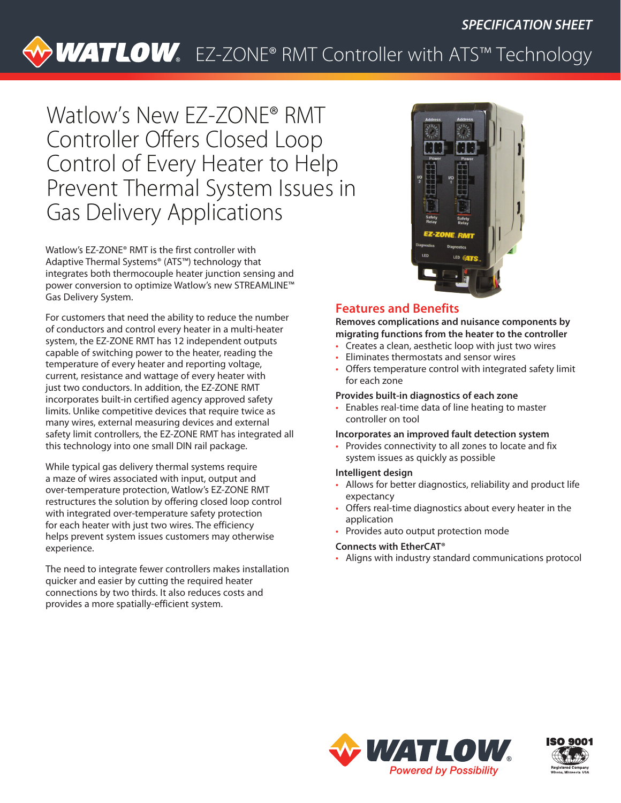# WATLOW. EZ-ZONE® RMT Controller with ATS™ Technology

Watlow's New EZ-ZONE® RMT Controller Offers Closed Loop Control of Every Heater to Help Prevent Thermal System Issues in Gas Delivery Applications

Watlow's EZ-ZONE® RMT is the first controller with Adaptive Thermal Systems® (ATS™) technology that integrates both thermocouple heater junction sensing and power conversion to optimize Watlow's new STREAMLINE™ Gas Delivery System.

For customers that need the ability to reduce the number of conductors and control every heater in a multi-heater system, the EZ-ZONE RMT has 12 independent outputs capable of switching power to the heater, reading the temperature of every heater and reporting voltage, current, resistance and wattage of every heater with just two conductors. In addition, the EZ-ZONE RMT incorporates built-in certified agency approved safety limits. Unlike competitive devices that require twice as many wires, external measuring devices and external safety limit controllers, the EZ-ZONE RMT has integrated all this technology into one small DIN rail package.

While typical gas delivery thermal systems require a maze of wires associated with input, output and over-temperature protection, Watlow's EZ-ZONE RMT restructures the solution by offering closed loop control with integrated over-temperature safety protection for each heater with just two wires. The efficiency helps prevent system issues customers may otherwise experience.

The need to integrate fewer controllers makes installation quicker and easier by cutting the required heater connections by two thirds. It also reduces costs and provides a more spatially-efficient system.



# **Features and Benefits**

**Removes complications and nuisance components by migrating functions from the heater to the controller**

- Creates a clean, aesthetic loop with just two wires
- Eliminates thermostats and sensor wires
- Offers temperature control with integrated safety limit for each zone

#### **Provides built-in diagnostics of each zone**

• Enables real-time data of line heating to master controller on tool

#### **Incorporates an improved fault detection system**

• Provides connectivity to all zones to locate and fix system issues as quickly as possible

#### **Intelligent design**

- Allows for better diagnostics, reliability and product life expectancy
- Offers real-time diagnostics about every heater in the application
- Provides auto output protection mode

#### **Connects with EtherCAT®**

• Aligns with industry standard communications protocol